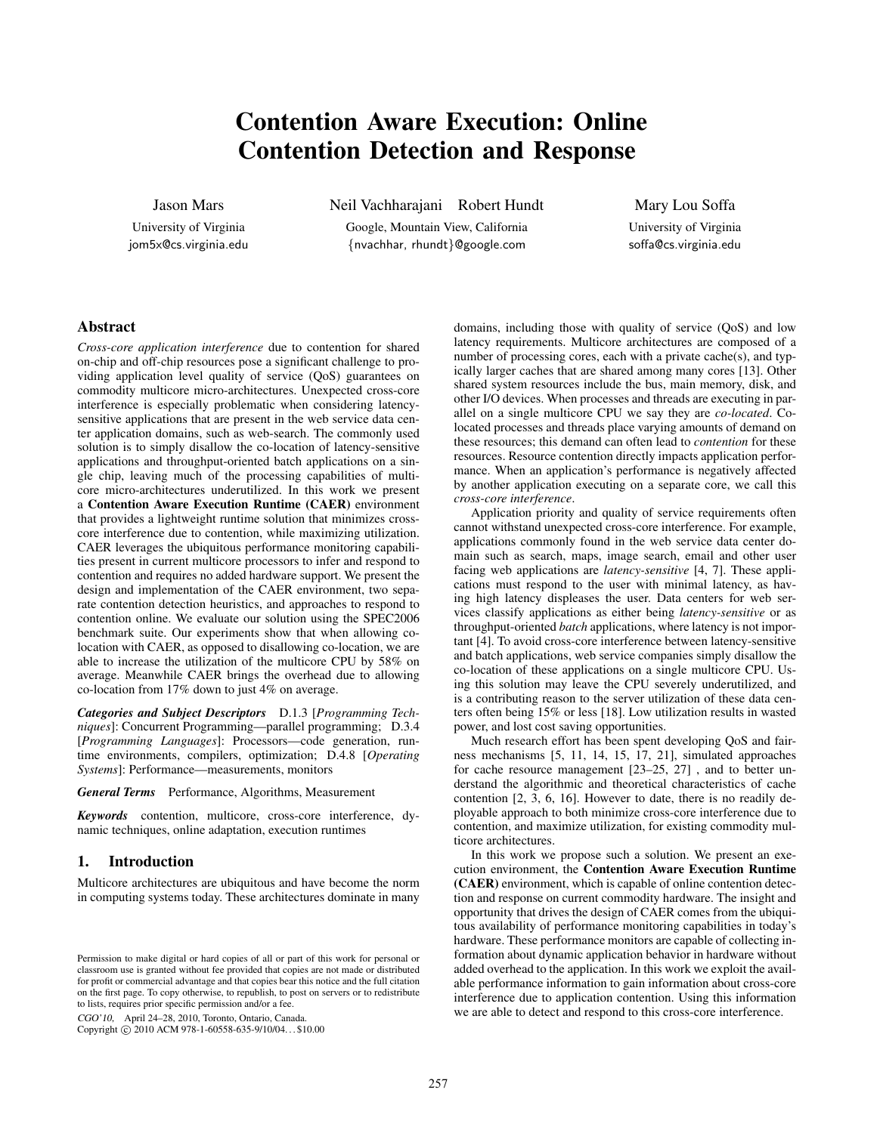# Contention Aware Execution: Online Contention Detection and Response

Jason Mars

University of Virginia jom5x@cs.virginia.edu Neil Vachharajani Robert Hundt

Google, Mountain View, California {nvachhar, rhundt}@google.com

Mary Lou Soffa

University of Virginia soffa@cs.virginia.edu

# Abstract

*Cross-core application interference* due to contention for shared on-chip and off-chip resources pose a significant challenge to providing application level quality of service (QoS) guarantees on commodity multicore micro-architectures. Unexpected cross-core interference is especially problematic when considering latencysensitive applications that are present in the web service data center application domains, such as web-search. The commonly used solution is to simply disallow the co-location of latency-sensitive applications and throughput-oriented batch applications on a single chip, leaving much of the processing capabilities of multicore micro-architectures underutilized. In this work we present a Contention Aware Execution Runtime (CAER) environment that provides a lightweight runtime solution that minimizes crosscore interference due to contention, while maximizing utilization. CAER leverages the ubiquitous performance monitoring capabilities present in current multicore processors to infer and respond to contention and requires no added hardware support. We present the design and implementation of the CAER environment, two separate contention detection heuristics, and approaches to respond to contention online. We evaluate our solution using the SPEC2006 benchmark suite. Our experiments show that when allowing colocation with CAER, as opposed to disallowing co-location, we are able to increase the utilization of the multicore CPU by 58% on average. Meanwhile CAER brings the overhead due to allowing co-location from 17% down to just 4% on average.

*Categories and Subject Descriptors* D.1.3 [*Programming Techniques*]: Concurrent Programming—parallel programming; D.3.4 [*Programming Languages*]: Processors—code generation, runtime environments, compilers, optimization; D.4.8 [*Operating Systems*]: Performance—measurements, monitors

*General Terms* Performance, Algorithms, Measurement

*Keywords* contention, multicore, cross-core interference, dynamic techniques, online adaptation, execution runtimes

# 1. Introduction

Multicore architectures are ubiquitous and have become the norm in computing systems today. These architectures dominate in many

CGO'10, April 24–28, 2010, Toronto, Ontario, Canada.

Copyright © 2010 ACM 978-1-60558-635-9/10/04... \$10.00

domains, including those with quality of service (QoS) and low latency requirements. Multicore architectures are composed of a number of processing cores, each with a private cache(s), and typically larger caches that are shared among many cores [13]. Other shared system resources include the bus, main memory, disk, and other I/O devices. When processes and threads are executing in parallel on a single multicore CPU we say they are *co-located*. Colocated processes and threads place varying amounts of demand on these resources; this demand can often lead to *contention* for these resources. Resource contention directly impacts application performance. When an application's performance is negatively affected by another application executing on a separate core, we call this *cross-core interference*.

Application priority and quality of service requirements often cannot withstand unexpected cross-core interference. For example, applications commonly found in the web service data center domain such as search, maps, image search, email and other user facing web applications are *latency-sensitive* [4, 7]. These applications must respond to the user with minimal latency, as having high latency displeases the user. Data centers for web services classify applications as either being *latency-sensitive* or as throughput-oriented *batch* applications, where latency is not important [4]. To avoid cross-core interference between latency-sensitive and batch applications, web service companies simply disallow the co-location of these applications on a single multicore CPU. Using this solution may leave the CPU severely underutilized, and is a contributing reason to the server utilization of these data centers often being 15% or less [18]. Low utilization results in wasted power, and lost cost saving opportunities.

Much research effort has been spent developing QoS and fairness mechanisms [5, 11, 14, 15, 17, 21], simulated approaches for cache resource management [23–25, 27] , and to better understand the algorithmic and theoretical characteristics of cache contention [2, 3, 6, 16]. However to date, there is no readily deployable approach to both minimize cross-core interference due to contention, and maximize utilization, for existing commodity multicore architectures.

In this work we propose such a solution. We present an execution environment, the Contention Aware Execution Runtime (CAER) environment, which is capable of online contention detection and response on current commodity hardware. The insight and opportunity that drives the design of CAER comes from the ubiquitous availability of performance monitoring capabilities in today's hardware. These performance monitors are capable of collecting information about dynamic application behavior in hardware without added overhead to the application. In this work we exploit the available performance information to gain information about cross-core interference due to application contention. Using this information we are able to detect and respond to this cross-core interference.

Permission to make digital or hard copies of all or part of this work for personal or classroom use is granted without fee provided that copies are not made or distributed for profit or commercial advantage and that copies bear this notice and the full citation on the first page. To copy otherwise, to republish, to post on servers or to redistribute to lists, requires prior specific permission and/or a fee.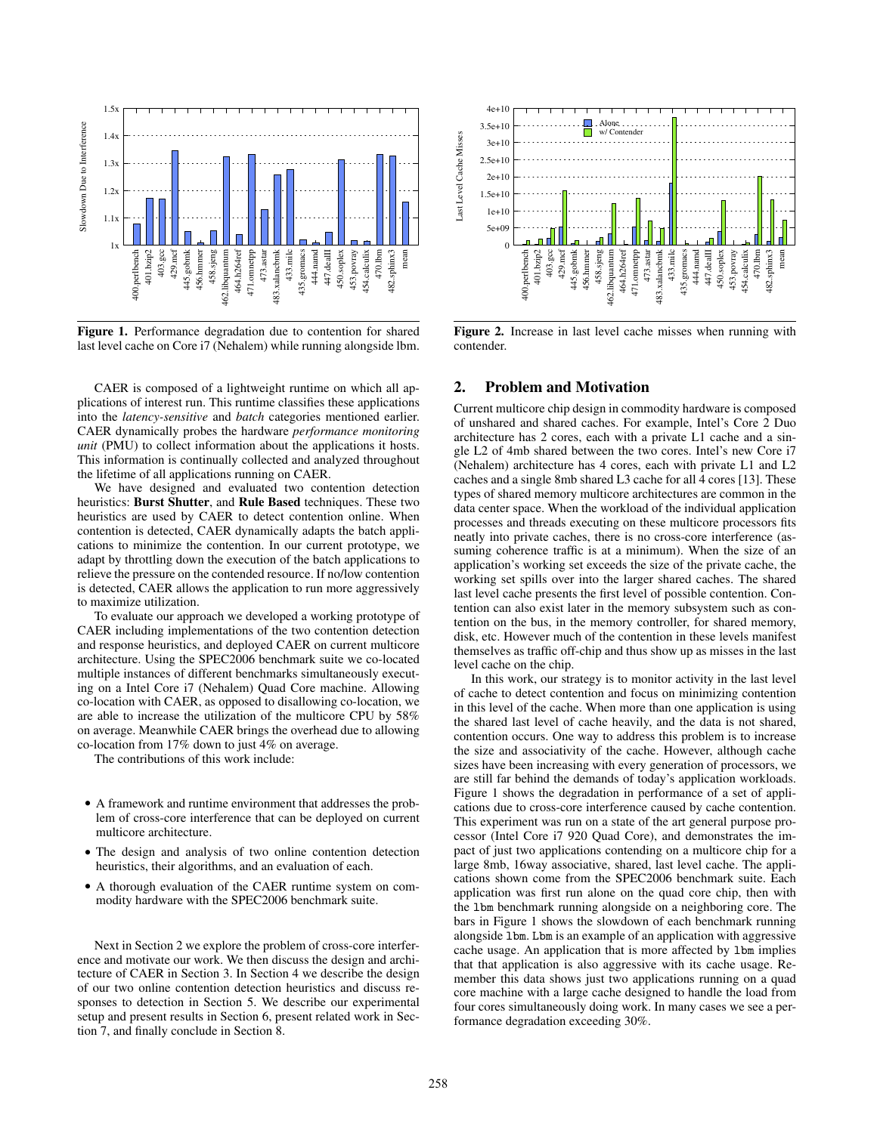

Figure 1. Performance degradation due to contention for shared last level cache on Core i7 (Nehalem) while running alongside lbm.

CAER is composed of a lightweight runtime on which all applications of interest run. This runtime classifies these applications into the *latency-sensitive* and *batch* categories mentioned earlier. CAER dynamically probes the hardware *performance monitoring unit* (PMU) to collect information about the applications it hosts. This information is continually collected and analyzed throughout the lifetime of all applications running on CAER.

We have designed and evaluated two contention detection heuristics: Burst Shutter, and Rule Based techniques. These two heuristics are used by CAER to detect contention online. When contention is detected, CAER dynamically adapts the batch applications to minimize the contention. In our current prototype, we adapt by throttling down the execution of the batch applications to relieve the pressure on the contended resource. If no/low contention is detected, CAER allows the application to run more aggressively to maximize utilization.

To evaluate our approach we developed a working prototype of CAER including implementations of the two contention detection and response heuristics, and deployed CAER on current multicore architecture. Using the SPEC2006 benchmark suite we co-located multiple instances of different benchmarks simultaneously executing on a Intel Core i7 (Nehalem) Quad Core machine. Allowing co-location with CAER, as opposed to disallowing co-location, we are able to increase the utilization of the multicore CPU by 58% on average. Meanwhile CAER brings the overhead due to allowing co-location from 17% down to just 4% on average.

The contributions of this work include:

- A framework and runtime environment that addresses the problem of cross-core interference that can be deployed on current multicore architecture.
- The design and analysis of two online contention detection heuristics, their algorithms, and an evaluation of each.
- A thorough evaluation of the CAER runtime system on commodity hardware with the SPEC2006 benchmark suite.

Next in Section 2 we explore the problem of cross-core interference and motivate our work. We then discuss the design and architecture of CAER in Section 3. In Section 4 we describe the design of our two online contention detection heuristics and discuss responses to detection in Section 5. We describe our experimental setup and present results in Section 6, present related work in Section 7, and finally conclude in Section 8.



Figure 2. Increase in last level cache misses when running with contender.

## 2. Problem and Motivation

Current multicore chip design in commodity hardware is composed of unshared and shared caches. For example, Intel's Core 2 Duo architecture has 2 cores, each with a private L1 cache and a single L2 of 4mb shared between the two cores. Intel's new Core i7 (Nehalem) architecture has 4 cores, each with private L1 and L2 caches and a single 8mb shared L3 cache for all 4 cores [13]. These types of shared memory multicore architectures are common in the data center space. When the workload of the individual application processes and threads executing on these multicore processors fits neatly into private caches, there is no cross-core interference (assuming coherence traffic is at a minimum). When the size of an application's working set exceeds the size of the private cache, the working set spills over into the larger shared caches. The shared last level cache presents the first level of possible contention. Contention can also exist later in the memory subsystem such as contention on the bus, in the memory controller, for shared memory, disk, etc. However much of the contention in these levels manifest themselves as traffic off-chip and thus show up as misses in the last level cache on the chip.

In this work, our strategy is to monitor activity in the last level of cache to detect contention and focus on minimizing contention in this level of the cache. When more than one application is using the shared last level of cache heavily, and the data is not shared, contention occurs. One way to address this problem is to increase the size and associativity of the cache. However, although cache sizes have been increasing with every generation of processors, we are still far behind the demands of today's application workloads. Figure 1 shows the degradation in performance of a set of applications due to cross-core interference caused by cache contention. This experiment was run on a state of the art general purpose processor (Intel Core i7 920 Quad Core), and demonstrates the impact of just two applications contending on a multicore chip for a large 8mb, 16way associative, shared, last level cache. The applications shown come from the SPEC2006 benchmark suite. Each application was first run alone on the quad core chip, then with the lbm benchmark running alongside on a neighboring core. The bars in Figure 1 shows the slowdown of each benchmark running alongside lbm. Lbm is an example of an application with aggressive cache usage. An application that is more affected by lbm implies that that application is also aggressive with its cache usage. Remember this data shows just two applications running on a quad core machine with a large cache designed to handle the load from four cores simultaneously doing work. In many cases we see a performance degradation exceeding 30%.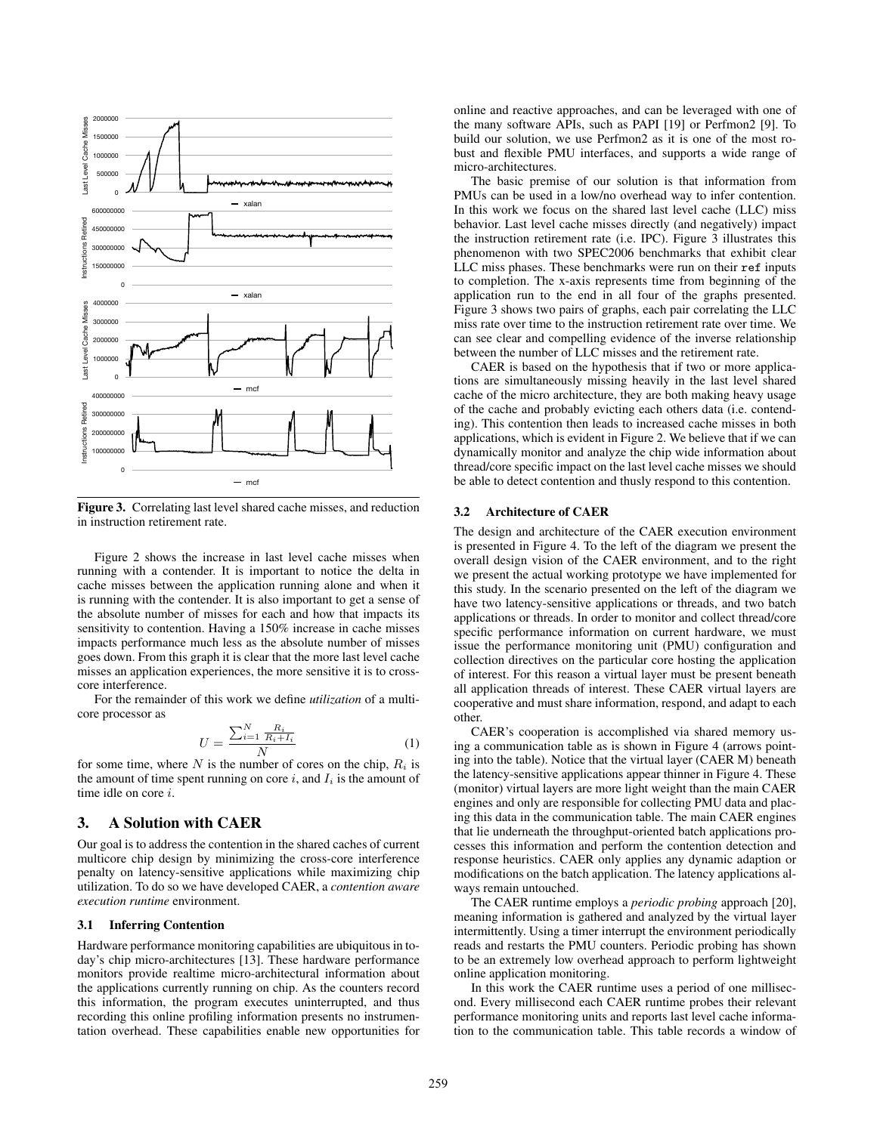

Figure 3. Correlating last level shared cache misses, and reduction in instruction retirement rate.

Figure 2 shows the increase in last level cache misses when running with a contender. It is important to notice the delta in cache misses between the application running alone and when it is running with the contender. It is also important to get a sense of the absolute number of misses for each and how that impacts its sensitivity to contention. Having a 150% increase in cache misses impacts performance much less as the absolute number of misses goes down. From this graph it is clear that the more last level cache misses an application experiences, the more sensitive it is to crosscore interference.

For the remainder of this work we define *utilization* of a multicore processor as

$$
U = \frac{\sum_{i=1}^{N} \frac{R_i}{R_i + I_i}}{N} \tag{1}
$$

for some time, where  $N$  is the number of cores on the chip,  $R_i$  is the amount of time spent running on core  $i$ , and  $I_i$  is the amount of time idle on core i.

## 3. A Solution with CAER

Our goal is to address the contention in the shared caches of current multicore chip design by minimizing the cross-core interference penalty on latency-sensitive applications while maximizing chip utilization. To do so we have developed CAER, a *contention aware execution runtime* environment.

#### 3.1 Inferring Contention

Hardware performance monitoring capabilities are ubiquitous in today's chip micro-architectures [13]. These hardware performance monitors provide realtime micro-architectural information about the applications currently running on chip. As the counters record this information, the program executes uninterrupted, and thus recording this online profiling information presents no instrumentation overhead. These capabilities enable new opportunities for online and reactive approaches, and can be leveraged with one of the many software APIs, such as PAPI [19] or Perfmon2 [9]. To build our solution, we use Perfmon2 as it is one of the most robust and flexible PMU interfaces, and supports a wide range of micro-architectures.

The basic premise of our solution is that information from PMUs can be used in a low/no overhead way to infer contention. In this work we focus on the shared last level cache (LLC) miss behavior. Last level cache misses directly (and negatively) impact the instruction retirement rate (i.e. IPC). Figure 3 illustrates this phenomenon with two SPEC2006 benchmarks that exhibit clear LLC miss phases. These benchmarks were run on their ref inputs to completion. The x-axis represents time from beginning of the application run to the end in all four of the graphs presented. Figure 3 shows two pairs of graphs, each pair correlating the LLC miss rate over time to the instruction retirement rate over time. We can see clear and compelling evidence of the inverse relationship between the number of LLC misses and the retirement rate.

CAER is based on the hypothesis that if two or more applications are simultaneously missing heavily in the last level shared cache of the micro architecture, they are both making heavy usage of the cache and probably evicting each others data (i.e. contending). This contention then leads to increased cache misses in both applications, which is evident in Figure 2. We believe that if we can dynamically monitor and analyze the chip wide information about thread/core specific impact on the last level cache misses we should be able to detect contention and thusly respond to this contention.

#### 3.2 Architecture of CAER

The design and architecture of the CAER execution environment is presented in Figure 4. To the left of the diagram we present the overall design vision of the CAER environment, and to the right we present the actual working prototype we have implemented for this study. In the scenario presented on the left of the diagram we have two latency-sensitive applications or threads, and two batch applications or threads. In order to monitor and collect thread/core specific performance information on current hardware, we must issue the performance monitoring unit (PMU) configuration and collection directives on the particular core hosting the application of interest. For this reason a virtual layer must be present beneath all application threads of interest. These CAER virtual layers are cooperative and must share information, respond, and adapt to each other.

CAER's cooperation is accomplished via shared memory using a communication table as is shown in Figure 4 (arrows pointing into the table). Notice that the virtual layer (CAER M) beneath the latency-sensitive applications appear thinner in Figure 4. These (monitor) virtual layers are more light weight than the main CAER engines and only are responsible for collecting PMU data and placing this data in the communication table. The main CAER engines that lie underneath the throughput-oriented batch applications processes this information and perform the contention detection and response heuristics. CAER only applies any dynamic adaption or modifications on the batch application. The latency applications always remain untouched.

The CAER runtime employs a *periodic probing* approach [20], meaning information is gathered and analyzed by the virtual layer intermittently. Using a timer interrupt the environment periodically reads and restarts the PMU counters. Periodic probing has shown to be an extremely low overhead approach to perform lightweight online application monitoring.

In this work the CAER runtime uses a period of one millisecond. Every millisecond each CAER runtime probes their relevant performance monitoring units and reports last level cache information to the communication table. This table records a window of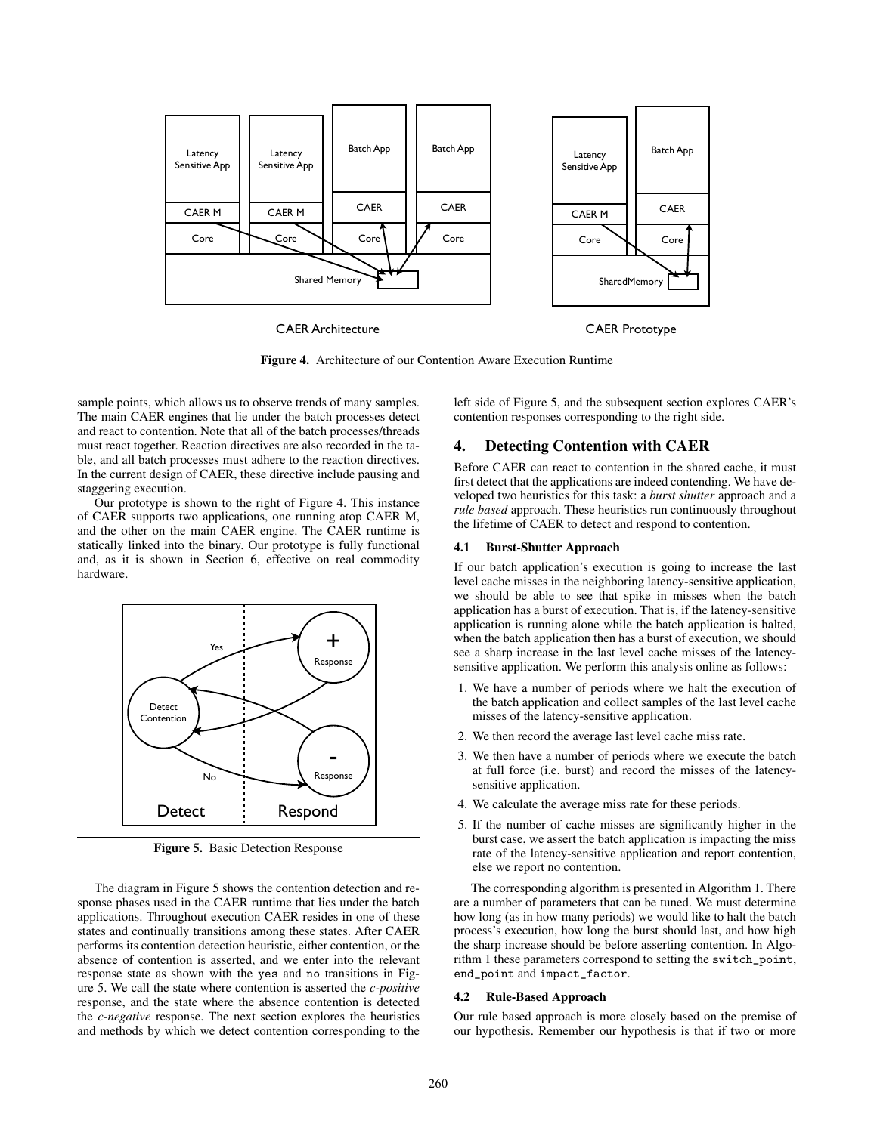

Figure 4. Architecture of our Contention Aware Execution Runtime

sample points, which allows us to observe trends of many samples. The main CAER engines that lie under the batch processes detect and react to contention. Note that all of the batch processes/threads must react together. Reaction directives are also recorded in the table, and all batch processes must adhere to the reaction directives. In the current design of CAER, these directive include pausing and staggering execution.

Our prototype is shown to the right of Figure 4. This instance of CAER supports two applications, one running atop CAER M, and the other on the main CAER engine. The CAER runtime is statically linked into the binary. Our prototype is fully functional and, as it is shown in Section 6, effective on real commodity hardware.



Figure 5. Basic Detection Response

The diagram in Figure 5 shows the contention detection and response phases used in the CAER runtime that lies under the batch applications. Throughout execution CAER resides in one of these states and continually transitions among these states. After CAER performs its contention detection heuristic, either contention, or the absence of contention is asserted, and we enter into the relevant response state as shown with the yes and no transitions in Figure 5. We call the state where contention is asserted the *c-positive* response, and the state where the absence contention is detected the *c-negative* response. The next section explores the heuristics and methods by which we detect contention corresponding to the left side of Figure 5, and the subsequent section explores CAER's contention responses corresponding to the right side.

# 4. Detecting Contention with CAER

Before CAER can react to contention in the shared cache, it must first detect that the applications are indeed contending. We have developed two heuristics for this task: a *burst shutter* approach and a *rule based* approach. These heuristics run continuously throughout the lifetime of CAER to detect and respond to contention.

## 4.1 Burst-Shutter Approach

If our batch application's execution is going to increase the last level cache misses in the neighboring latency-sensitive application, we should be able to see that spike in misses when the batch application has a burst of execution. That is, if the latency-sensitive application is running alone while the batch application is halted, when the batch application then has a burst of execution, we should see a sharp increase in the last level cache misses of the latencysensitive application. We perform this analysis online as follows:

- 1. We have a number of periods where we halt the execution of the batch application and collect samples of the last level cache misses of the latency-sensitive application.
- 2. We then record the average last level cache miss rate.
- 3. We then have a number of periods where we execute the batch at full force (i.e. burst) and record the misses of the latencysensitive application.
- 4. We calculate the average miss rate for these periods.
- 5. If the number of cache misses are significantly higher in the burst case, we assert the batch application is impacting the miss rate of the latency-sensitive application and report contention, else we report no contention.

The corresponding algorithm is presented in Algorithm 1. There are a number of parameters that can be tuned. We must determine how long (as in how many periods) we would like to halt the batch process's execution, how long the burst should last, and how high the sharp increase should be before asserting contention. In Algorithm 1 these parameters correspond to setting the switch\_point, end\_point and impact\_factor.

## 4.2 Rule-Based Approach

Our rule based approach is more closely based on the premise of our hypothesis. Remember our hypothesis is that if two or more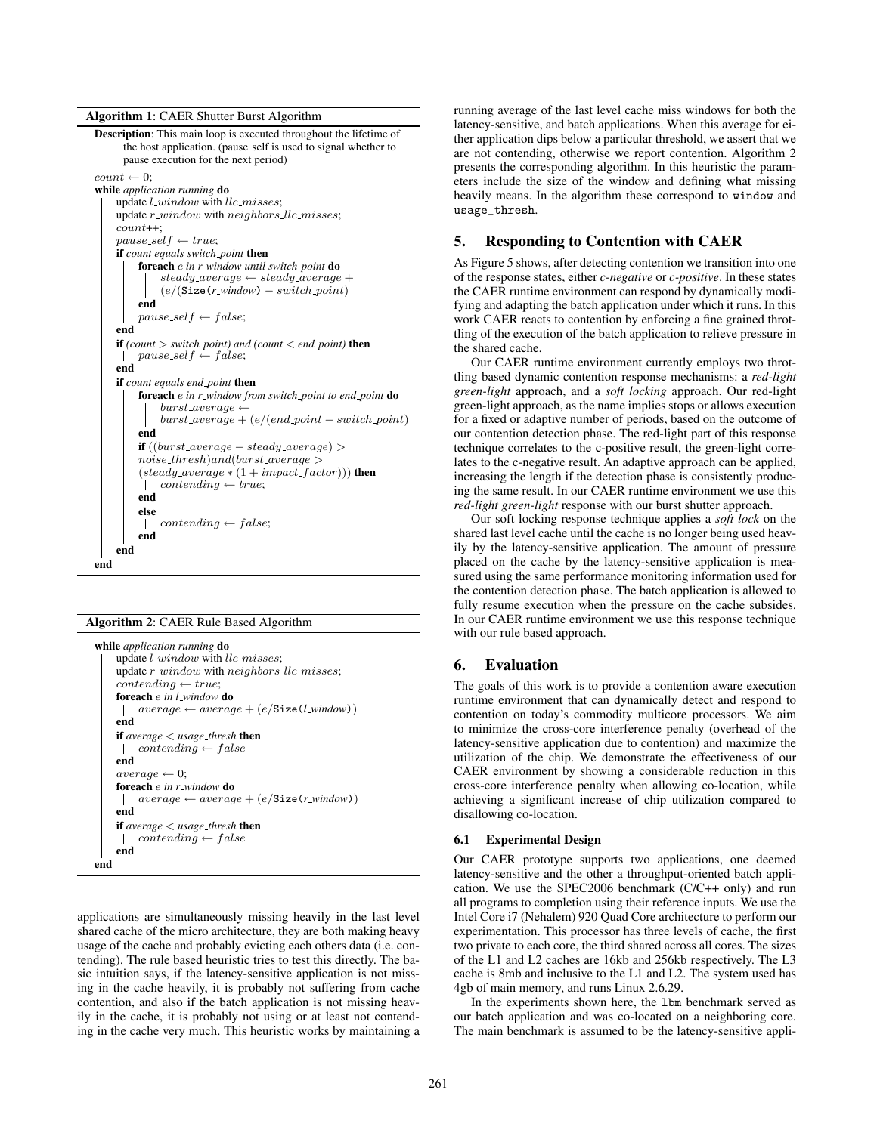Algorithm 1: CAER Shutter Burst Algorithm



#### Algorithm 2: CAER Rule Based Algorithm

```
while application running do
     update l\_window with llc\_misses;
     update r\_window with neighbors llc misses;
     contenting \leftarrow true;foreach e in l window do
          average \leftarrow average + (e/Size(l\_window))\mathbf{I}end
     if average < usage thresh then
      \mathbb{R}contending \leftarrow falseend
     average \leftarrow 0;foreach e in r window do
         average \leftarrow average + (e/Size(r\_window))\perpend
     if average < usage\_thresh then<br>| contenting \leftarrow falsecontending \leftarrow falseend
end
```
applications are simultaneously missing heavily in the last level shared cache of the micro architecture, they are both making heavy usage of the cache and probably evicting each others data (i.e. contending). The rule based heuristic tries to test this directly. The basic intuition says, if the latency-sensitive application is not missing in the cache heavily, it is probably not suffering from cache contention, and also if the batch application is not missing heavily in the cache, it is probably not using or at least not contending in the cache very much. This heuristic works by maintaining a running average of the last level cache miss windows for both the latency-sensitive, and batch applications. When this average for either application dips below a particular threshold, we assert that we are not contending, otherwise we report contention. Algorithm 2 presents the corresponding algorithm. In this heuristic the parameters include the size of the window and defining what missing heavily means. In the algorithm these correspond to window and usage\_thresh.

## 5. Responding to Contention with CAER

As Figure 5 shows, after detecting contention we transition into one of the response states, either *c-negative* or *c-positive*. In these states the CAER runtime environment can respond by dynamically modifying and adapting the batch application under which it runs. In this work CAER reacts to contention by enforcing a fine grained throttling of the execution of the batch application to relieve pressure in the shared cache.

Our CAER runtime environment currently employs two throttling based dynamic contention response mechanisms: a *red-light green-light* approach, and a *soft locking* approach. Our red-light green-light approach, as the name implies stops or allows execution for a fixed or adaptive number of periods, based on the outcome of our contention detection phase. The red-light part of this response technique correlates to the c-positive result, the green-light correlates to the c-negative result. An adaptive approach can be applied, increasing the length if the detection phase is consistently producing the same result. In our CAER runtime environment we use this *red-light green-light* response with our burst shutter approach.

Our soft locking response technique applies a *soft lock* on the shared last level cache until the cache is no longer being used heavily by the latency-sensitive application. The amount of pressure placed on the cache by the latency-sensitive application is measured using the same performance monitoring information used for the contention detection phase. The batch application is allowed to fully resume execution when the pressure on the cache subsides. In our CAER runtime environment we use this response technique with our rule based approach.

#### 6. Evaluation

The goals of this work is to provide a contention aware execution runtime environment that can dynamically detect and respond to contention on today's commodity multicore processors. We aim to minimize the cross-core interference penalty (overhead of the latency-sensitive application due to contention) and maximize the utilization of the chip. We demonstrate the effectiveness of our CAER environment by showing a considerable reduction in this cross-core interference penalty when allowing co-location, while achieving a significant increase of chip utilization compared to disallowing co-location.

#### 6.1 Experimental Design

Our CAER prototype supports two applications, one deemed latency-sensitive and the other a throughput-oriented batch application. We use the SPEC2006 benchmark (C/C++ only) and run all programs to completion using their reference inputs. We use the Intel Core i7 (Nehalem) 920 Quad Core architecture to perform our experimentation. This processor has three levels of cache, the first two private to each core, the third shared across all cores. The sizes of the L1 and L2 caches are 16kb and 256kb respectively. The L3 cache is 8mb and inclusive to the L1 and L2. The system used has 4gb of main memory, and runs Linux 2.6.29.

In the experiments shown here, the lbm benchmark served as our batch application and was co-located on a neighboring core. The main benchmark is assumed to be the latency-sensitive appli-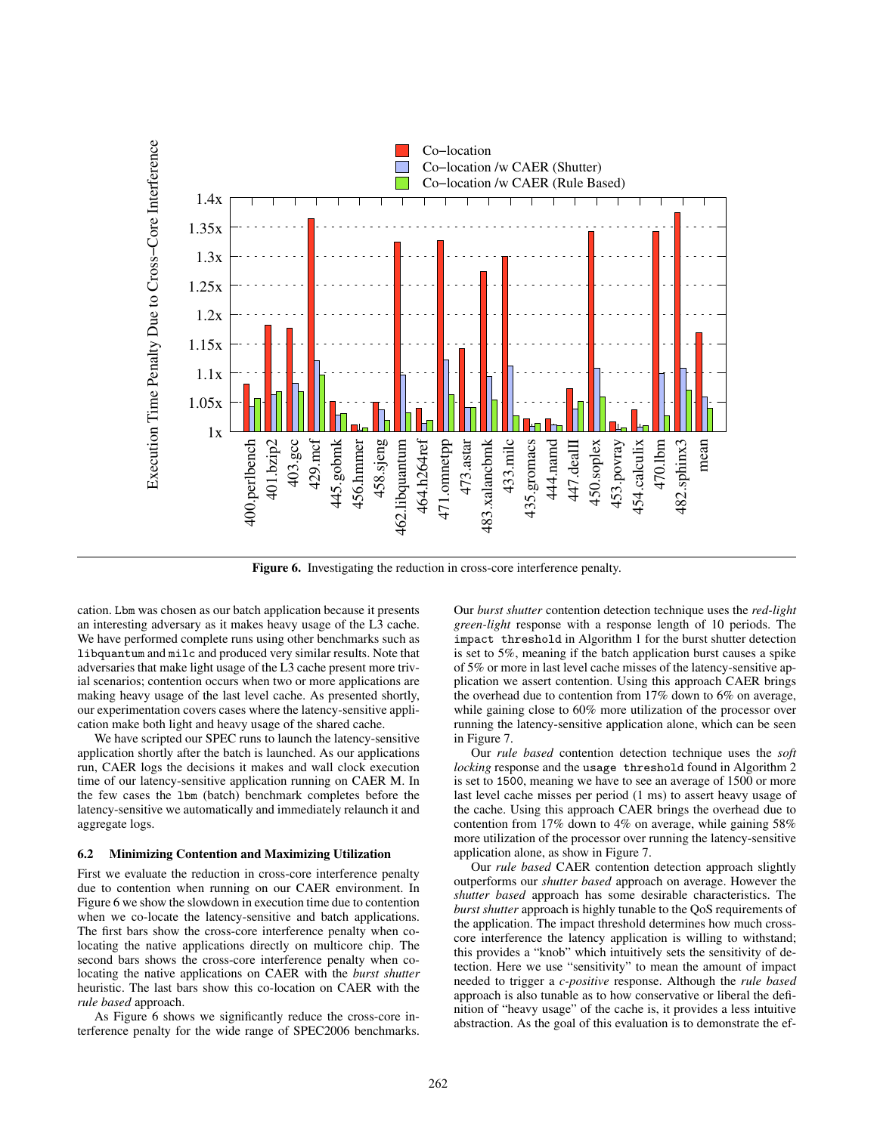

Figure 6. Investigating the reduction in cross-core interference penalty.

cation. Lbm was chosen as our batch application because it presents an interesting adversary as it makes heavy usage of the L3 cache. We have performed complete runs using other benchmarks such as libquantum and milc and produced very similar results. Note that adversaries that make light usage of the L3 cache present more trivial scenarios; contention occurs when two or more applications are making heavy usage of the last level cache. As presented shortly, our experimentation covers cases where the latency-sensitive application make both light and heavy usage of the shared cache.

We have scripted our SPEC runs to launch the latency-sensitive application shortly after the batch is launched. As our applications run, CAER logs the decisions it makes and wall clock execution time of our latency-sensitive application running on CAER M. In the few cases the lbm (batch) benchmark completes before the latency-sensitive we automatically and immediately relaunch it and aggregate logs.

#### 6.2 Minimizing Contention and Maximizing Utilization

First we evaluate the reduction in cross-core interference penalty due to contention when running on our CAER environment. In Figure 6 we show the slowdown in execution time due to contention when we co-locate the latency-sensitive and batch applications. The first bars show the cross-core interference penalty when colocating the native applications directly on multicore chip. The second bars shows the cross-core interference penalty when colocating the native applications on CAER with the *burst shutter* heuristic. The last bars show this co-location on CAER with the *rule based* approach.

As Figure 6 shows we significantly reduce the cross-core interference penalty for the wide range of SPEC2006 benchmarks.

Our *burst shutter* contention detection technique uses the *red-light green-light* response with a response length of 10 periods. The impact threshold in Algorithm 1 for the burst shutter detection is set to 5%, meaning if the batch application burst causes a spike of 5% or more in last level cache misses of the latency-sensitive application we assert contention. Using this approach CAER brings the overhead due to contention from 17% down to 6% on average, while gaining close to 60% more utilization of the processor over running the latency-sensitive application alone, which can be seen in Figure 7.

Our *rule based* contention detection technique uses the *soft locking* response and the usage threshold found in Algorithm 2 is set to 1500, meaning we have to see an average of 1500 or more last level cache misses per period (1 ms) to assert heavy usage of the cache. Using this approach CAER brings the overhead due to contention from 17% down to 4% on average, while gaining 58% more utilization of the processor over running the latency-sensitive application alone, as show in Figure 7.

Our *rule based* CAER contention detection approach slightly outperforms our *shutter based* approach on average. However the *shutter based* approach has some desirable characteristics. The *burst shutter* approach is highly tunable to the QoS requirements of the application. The impact threshold determines how much crosscore interference the latency application is willing to withstand; this provides a "knob" which intuitively sets the sensitivity of detection. Here we use "sensitivity" to mean the amount of impact needed to trigger a *c-positive* response. Although the *rule based* approach is also tunable as to how conservative or liberal the definition of "heavy usage" of the cache is, it provides a less intuitive abstraction. As the goal of this evaluation is to demonstrate the ef-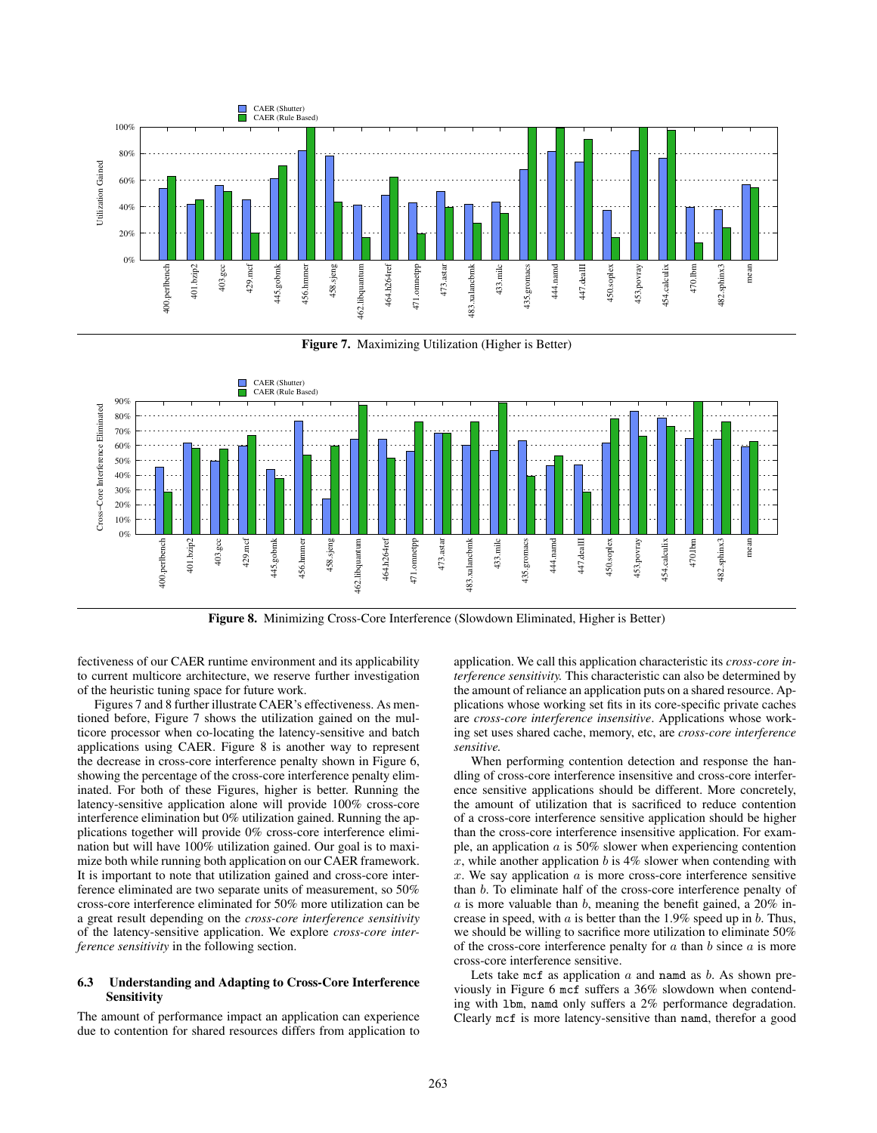

Figure 7. Maximizing Utilization (Higher is Better)



Figure 8. Minimizing Cross-Core Interference (Slowdown Eliminated, Higher is Better)

fectiveness of our CAER runtime environment and its applicability to current multicore architecture, we reserve further investigation of the heuristic tuning space for future work.

Figures 7 and 8 further illustrate CAER's effectiveness. As mentioned before, Figure 7 shows the utilization gained on the multicore processor when co-locating the latency-sensitive and batch applications using CAER. Figure 8 is another way to represent the decrease in cross-core interference penalty shown in Figure 6, showing the percentage of the cross-core interference penalty eliminated. For both of these Figures, higher is better. Running the latency-sensitive application alone will provide 100% cross-core interference elimination but 0% utilization gained. Running the applications together will provide 0% cross-core interference elimination but will have 100% utilization gained. Our goal is to maximize both while running both application on our CAER framework. It is important to note that utilization gained and cross-core interference eliminated are two separate units of measurement, so 50% cross-core interference eliminated for 50% more utilization can be a great result depending on the *cross-core interference sensitivity* of the latency-sensitive application. We explore *cross-core interference sensitivity* in the following section.

## 6.3 Understanding and Adapting to Cross-Core Interference **Sensitivity**

The amount of performance impact an application can experience due to contention for shared resources differs from application to application. We call this application characteristic its *cross-core interference sensitivity.* This characteristic can also be determined by the amount of reliance an application puts on a shared resource. Applications whose working set fits in its core-specific private caches are *cross-core interference insensitive*. Applications whose working set uses shared cache, memory, etc, are *cross-core interference sensitive.*

When performing contention detection and response the handling of cross-core interference insensitive and cross-core interference sensitive applications should be different. More concretely, the amount of utilization that is sacrificed to reduce contention of a cross-core interference sensitive application should be higher than the cross-core interference insensitive application. For example, an application a is 50% slower when experiencing contention x, while another application b is  $4\%$  slower when contending with  $x$ . We say application  $a$  is more cross-core interference sensitive than b. To eliminate half of the cross-core interference penalty of  $a$  is more valuable than  $b$ , meaning the benefit gained, a 20% increase in speed, with  $a$  is better than the 1.9% speed up in  $b$ . Thus, we should be willing to sacrifice more utilization to eliminate 50% of the cross-core interference penalty for  $a$  than  $b$  since  $a$  is more cross-core interference sensitive.

Lets take  $mcf$  as application  $a$  and namd as  $b$ . As shown previously in Figure 6 mcf suffers a 36% slowdown when contending with lbm, namd only suffers a 2% performance degradation. Clearly mcf is more latency-sensitive than namd, therefor a good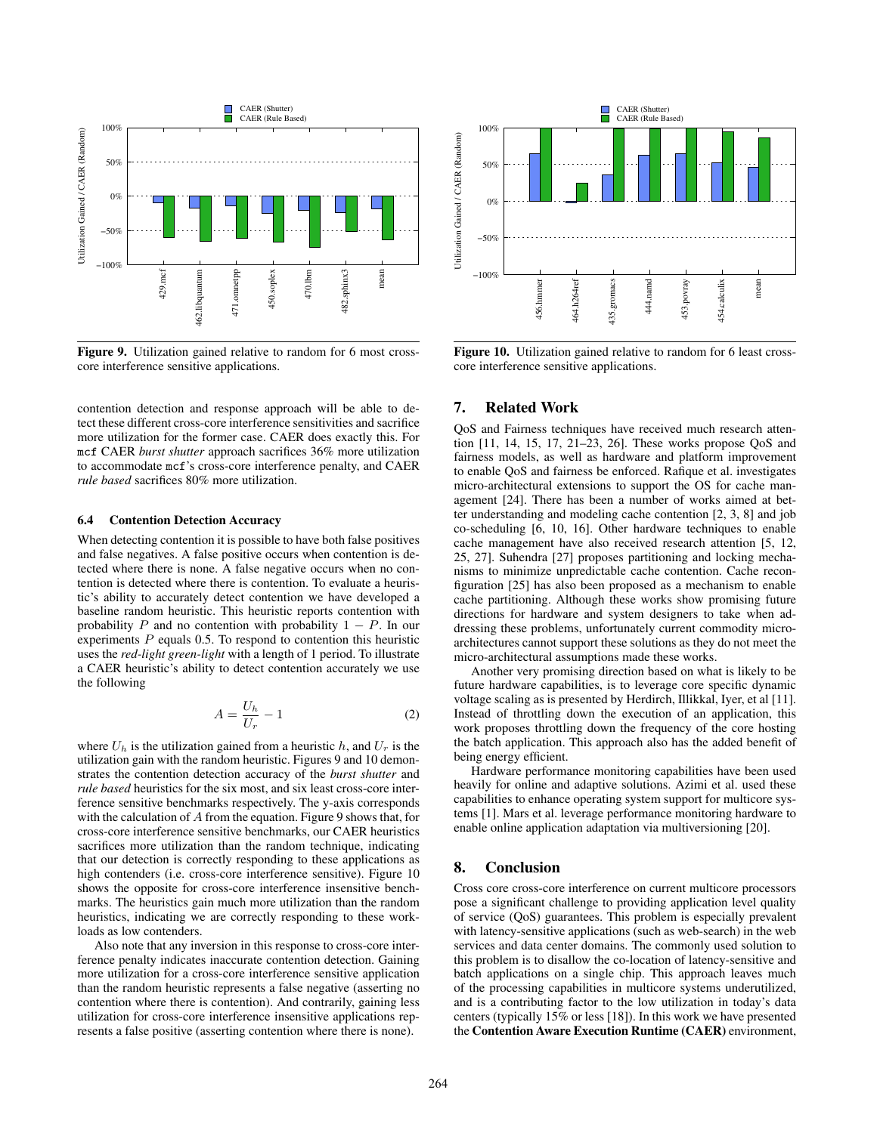

Figure 9. Utilization gained relative to random for 6 most crosscore interference sensitive applications.

contention detection and response approach will be able to detect these different cross-core interference sensitivities and sacrifice more utilization for the former case. CAER does exactly this. For mcf CAER *burst shutter* approach sacrifices 36% more utilization to accommodate mcf's cross-core interference penalty, and CAER *rule based* sacrifices 80% more utilization.

#### 6.4 Contention Detection Accuracy

When detecting contention it is possible to have both false positives and false negatives. A false positive occurs when contention is detected where there is none. A false negative occurs when no contention is detected where there is contention. To evaluate a heuristic's ability to accurately detect contention we have developed a baseline random heuristic. This heuristic reports contention with probability P and no contention with probability  $1 - P$ . In our experiments  $P$  equals 0.5. To respond to contention this heuristic uses the *red-light green-light* with a length of 1 period. To illustrate a CAER heuristic's ability to detect contention accurately we use the following

$$
A = \frac{U_h}{U_r} - 1\tag{2}
$$

where  $U_h$  is the utilization gained from a heuristic h, and  $U_r$  is the utilization gain with the random heuristic. Figures 9 and 10 demonstrates the contention detection accuracy of the *burst shutter* and *rule based* heuristics for the six most, and six least cross-core interference sensitive benchmarks respectively. The y-axis corresponds with the calculation of A from the equation. Figure 9 shows that, for cross-core interference sensitive benchmarks, our CAER heuristics sacrifices more utilization than the random technique, indicating that our detection is correctly responding to these applications as high contenders (i.e. cross-core interference sensitive). Figure 10 shows the opposite for cross-core interference insensitive benchmarks. The heuristics gain much more utilization than the random heuristics, indicating we are correctly responding to these workloads as low contenders.

Also note that any inversion in this response to cross-core interference penalty indicates inaccurate contention detection. Gaining more utilization for a cross-core interference sensitive application than the random heuristic represents a false negative (asserting no contention where there is contention). And contrarily, gaining less utilization for cross-core interference insensitive applications represents a false positive (asserting contention where there is none).



Figure 10. Utilization gained relative to random for 6 least crosscore interference sensitive applications.

## 7. Related Work

QoS and Fairness techniques have received much research attention [11, 14, 15, 17, 21–23, 26]. These works propose QoS and fairness models, as well as hardware and platform improvement to enable QoS and fairness be enforced. Rafique et al. investigates micro-architectural extensions to support the OS for cache management [24]. There has been a number of works aimed at better understanding and modeling cache contention [2, 3, 8] and job co-scheduling [6, 10, 16]. Other hardware techniques to enable cache management have also received research attention [5, 12, 25, 27]. Suhendra [27] proposes partitioning and locking mechanisms to minimize unpredictable cache contention. Cache reconfiguration [25] has also been proposed as a mechanism to enable cache partitioning. Although these works show promising future directions for hardware and system designers to take when addressing these problems, unfortunately current commodity microarchitectures cannot support these solutions as they do not meet the micro-architectural assumptions made these works.

Another very promising direction based on what is likely to be future hardware capabilities, is to leverage core specific dynamic voltage scaling as is presented by Herdirch, Illikkal, Iyer, et al [11]. Instead of throttling down the execution of an application, this work proposes throttling down the frequency of the core hosting the batch application. This approach also has the added benefit of being energy efficient.

Hardware performance monitoring capabilities have been used heavily for online and adaptive solutions. Azimi et al. used these capabilities to enhance operating system support for multicore systems [1]. Mars et al. leverage performance monitoring hardware to enable online application adaptation via multiversioning [20].

## 8. Conclusion

Cross core cross-core interference on current multicore processors pose a significant challenge to providing application level quality of service (QoS) guarantees. This problem is especially prevalent with latency-sensitive applications (such as web-search) in the web services and data center domains. The commonly used solution to this problem is to disallow the co-location of latency-sensitive and batch applications on a single chip. This approach leaves much of the processing capabilities in multicore systems underutilized, and is a contributing factor to the low utilization in today's data centers (typically 15% or less [18]). In this work we have presented the Contention Aware Execution Runtime (CAER) environment,